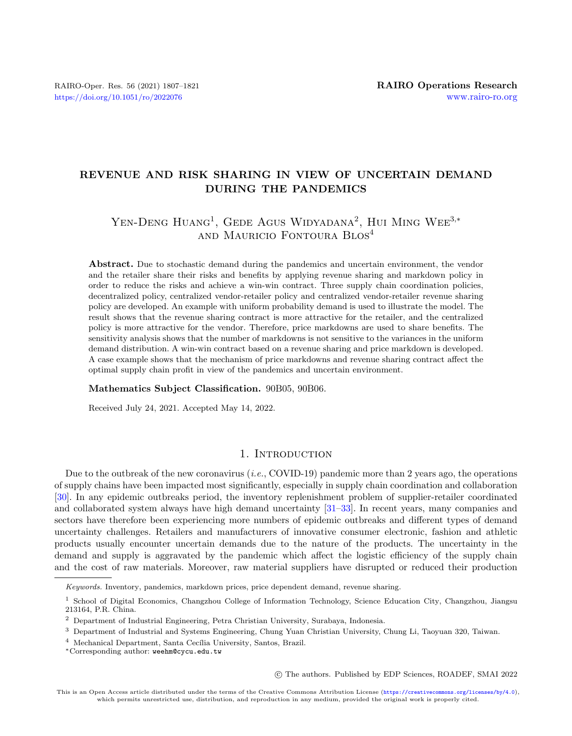# REVENUE AND RISK SHARING IN VIEW OF UNCERTAIN DEMAND DURING THE PANDEMICS

# YEN-DENG HUANG<sup>1</sup>, GEDE AGUS WIDYADANA<sup>2</sup>, HUI MING WEE<sup>3,\*</sup> and Mauricio Fontoura Blos<sup>4</sup>

Abstract. Due to stochastic demand during the pandemics and uncertain environment, the vendor and the retailer share their risks and benefits by applying revenue sharing and markdown policy in order to reduce the risks and achieve a win-win contract. Three supply chain coordination policies, decentralized policy, centralized vendor-retailer policy and centralized vendor-retailer revenue sharing policy are developed. An example with uniform probability demand is used to illustrate the model. The result shows that the revenue sharing contract is more attractive for the retailer, and the centralized policy is more attractive for the vendor. Therefore, price markdowns are used to share benefits. The sensitivity analysis shows that the number of markdowns is not sensitive to the variances in the uniform demand distribution. A win-win contract based on a revenue sharing and price markdown is developed. A case example shows that the mechanism of price markdowns and revenue sharing contract affect the optimal supply chain profit in view of the pandemics and uncertain environment.

#### Mathematics Subject Classification. 90B05, 90B06.

Received July 24, 2021. Accepted May 14, 2022.

### 1. INTRODUCTION

Due to the outbreak of the new coronavirus (*i.e.*, COVID-19) pandemic more than 2 years ago, the operations of supply chains have been impacted most significantly, especially in supply chain coordination and collaboration [\[30\]](#page-13-0). In any epidemic outbreaks period, the inventory replenishment problem of supplier-retailer coordinated and collaborated system always have high demand uncertainty [\[31–](#page-13-1)[33\]](#page-13-2). In recent years, many companies and sectors have therefore been experiencing more numbers of epidemic outbreaks and different types of demand uncertainty challenges. Retailers and manufacturers of innovative consumer electronic, fashion and athletic products usually encounter uncertain demands due to the nature of the products. The uncertainty in the demand and supply is aggravated by the pandemic which affect the logistic efficiency of the supply chain and the cost of raw materials. Moreover, raw material suppliers have disrupted or reduced their production

○c The authors. Published by EDP Sciences, ROADEF, SMAI 2022

Keywords. Inventory, pandemics, markdown prices, price dependent demand, revenue sharing.

<sup>&</sup>lt;sup>1</sup> School of Digital Economics, Changzhou College of Information Technology, Science Education City, Changzhou, Jiangsu 213164, P.R. China.

<sup>2</sup> Department of Industrial Engineering, Petra Christian University, Surabaya, Indonesia.

<sup>3</sup> Department of Industrial and Systems Engineering, Chung Yuan Christian University, Chung Li, Taoyuan 320, Taiwan.

<sup>&</sup>lt;sup>4</sup> Mechanical Department, Santa Cecília University, Santos, Brazil.

<sup>\*</sup>Corresponding author: [weehm@cycu.edu.tw](mailto:weehm@cycu.edu.tw)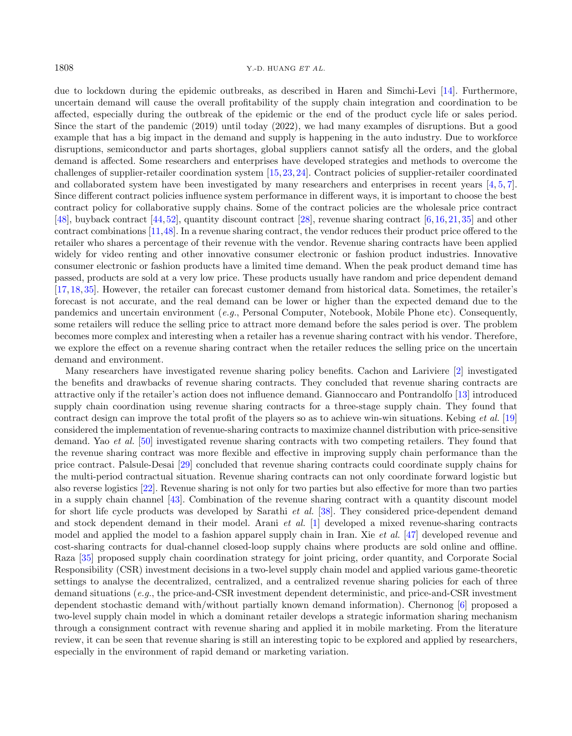#### $1808$  Y.-D. HUANG ET AL.

due to lockdown during the epidemic outbreaks, as described in Haren and Simchi-Levi [\[14\]](#page-12-0). Furthermore, uncertain demand will cause the overall profitability of the supply chain integration and coordination to be affected, especially during the outbreak of the epidemic or the end of the product cycle life or sales period. Since the start of the pandemic (2019) until today (2022), we had many examples of disruptions. But a good example that has a big impact in the demand and supply is happening in the auto industry. Due to workforce disruptions, semiconductor and parts shortages, global suppliers cannot satisfy all the orders, and the global demand is affected. Some researchers and enterprises have developed strategies and methods to overcome the challenges of supplier-retailer coordination system [\[15,](#page-12-1) [23,](#page-13-3) [24\]](#page-13-4). Contract policies of supplier-retailer coordinated and collaborated system have been investigated by many researchers and enterprises in recent years [\[4,](#page-12-2) [5,](#page-12-3) [7\]](#page-12-4). Since different contract policies influence system performance in different ways, it is important to choose the best contract policy for collaborative supply chains. Some of the contract policies are the wholesale price contract [\[48\]](#page-13-5), buyback contract [\[44,](#page-13-6)[52\]](#page-14-0), quantity discount contract [\[28\]](#page-13-7), revenue sharing contract [\[6,](#page-12-5)[16,](#page-12-6)[21,](#page-13-8)[35\]](#page-13-9) and other contract combinations [\[11,](#page-12-7)[48\]](#page-13-5). In a revenue sharing contract, the vendor reduces their product price offered to the retailer who shares a percentage of their revenue with the vendor. Revenue sharing contracts have been applied widely for video renting and other innovative consumer electronic or fashion product industries. Innovative consumer electronic or fashion products have a limited time demand. When the peak product demand time has passed, products are sold at a very low price. These products usually have random and price dependent demand [\[17,](#page-12-8) [18,](#page-13-10) [35\]](#page-13-9). However, the retailer can forecast customer demand from historical data. Sometimes, the retailer's forecast is not accurate, and the real demand can be lower or higher than the expected demand due to the pandemics and uncertain environment (e.g., Personal Computer, Notebook, Mobile Phone etc). Consequently, some retailers will reduce the selling price to attract more demand before the sales period is over. The problem becomes more complex and interesting when a retailer has a revenue sharing contract with his vendor. Therefore, we explore the effect on a revenue sharing contract when the retailer reduces the selling price on the uncertain demand and environment.

Many researchers have investigated revenue sharing policy benefits. Cachon and Lariviere [\[2\]](#page-12-9) investigated the benefits and drawbacks of revenue sharing contracts. They concluded that revenue sharing contracts are attractive only if the retailer's action does not influence demand. Giannoccaro and Pontrandolfo [\[13\]](#page-12-10) introduced supply chain coordination using revenue sharing contracts for a three-stage supply chain. They found that contract design can improve the total profit of the players so as to achieve win-win situations. Kebing et al. [\[19\]](#page-13-11) considered the implementation of revenue-sharing contracts to maximize channel distribution with price-sensitive demand. Yao et al. [\[50\]](#page-13-12) investigated revenue sharing contracts with two competing retailers. They found that the revenue sharing contract was more flexible and effective in improving supply chain performance than the price contract. Palsule-Desai [\[29\]](#page-13-13) concluded that revenue sharing contracts could coordinate supply chains for the multi-period contractual situation. Revenue sharing contracts can not only coordinate forward logistic but also reverse logistics [\[22\]](#page-13-14). Revenue sharing is not only for two parties but also effective for more than two parties in a supply chain channel [\[43\]](#page-13-15). Combination of the revenue sharing contract with a quantity discount model for short life cycle products was developed by Sarathi et al. [\[38\]](#page-13-16). They considered price-dependent demand and stock dependent demand in their model. Arani et al. [\[1\]](#page-12-11) developed a mixed revenue-sharing contracts model and applied the model to a fashion apparel supply chain in Iran. Xie et al. [\[47\]](#page-13-17) developed revenue and cost-sharing contracts for dual-channel closed-loop supply chains where products are sold online and offline. Raza [\[35\]](#page-13-9) proposed supply chain coordination strategy for joint pricing, order quantity, and Corporate Social Responsibility (CSR) investment decisions in a two-level supply chain model and applied various game-theoretic settings to analyse the decentralized, centralized, and a centralized revenue sharing policies for each of three demand situations (e.g., the price-and-CSR investment dependent deterministic, and price-and-CSR investment dependent stochastic demand with/without partially known demand information). Chernonog [\[6\]](#page-12-5) proposed a two-level supply chain model in which a dominant retailer develops a strategic information sharing mechanism through a consignment contract with revenue sharing and applied it in mobile marketing. From the literature review, it can be seen that revenue sharing is still an interesting topic to be explored and applied by researchers, especially in the environment of rapid demand or marketing variation.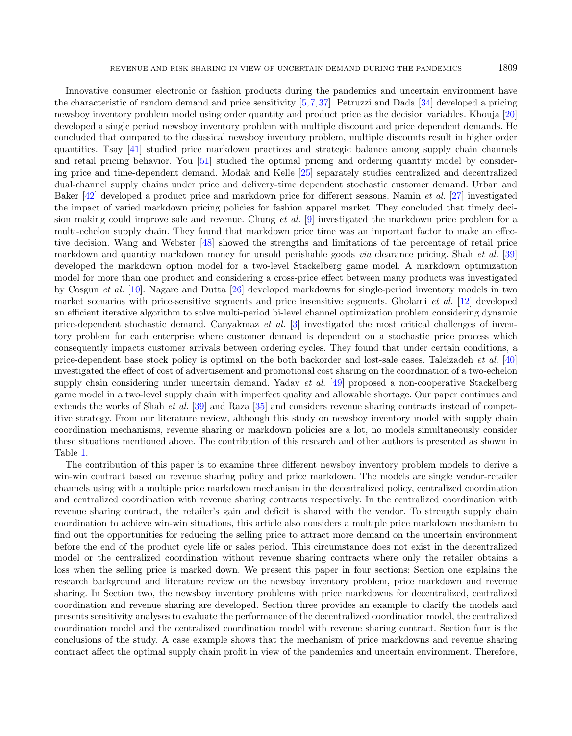Innovative consumer electronic or fashion products during the pandemics and uncertain environment have the characteristic of random demand and price sensitivity [\[5,](#page-12-3)[7,](#page-12-4)[37\]](#page-13-18). Petruzzi and Dada [\[34\]](#page-13-19) developed a pricing newsboy inventory problem model using order quantity and product price as the decision variables. Khouja [\[20\]](#page-13-20) developed a single period newsboy inventory problem with multiple discount and price dependent demands. He concluded that compared to the classical newsboy inventory problem, multiple discounts result in higher order quantities. Tsay [\[41\]](#page-13-21) studied price markdown practices and strategic balance among supply chain channels and retail pricing behavior. You [\[51\]](#page-14-1) studied the optimal pricing and ordering quantity model by considering price and time-dependent demand. Modak and Kelle [\[25\]](#page-13-22) separately studies centralized and decentralized dual-channel supply chains under price and delivery-time dependent stochastic customer demand. Urban and Baker [\[42\]](#page-13-23) developed a product price and markdown price for different seasons. Namin et al. [\[27\]](#page-13-24) investigated the impact of varied markdown pricing policies for fashion apparel market. They concluded that timely decision making could improve sale and revenue. Chung et al. [\[9\]](#page-12-12) investigated the markdown price problem for a multi-echelon supply chain. They found that markdown price time was an important factor to make an effective decision. Wang and Webster [\[48\]](#page-13-5) showed the strengths and limitations of the percentage of retail price markdown and quantity markdown money for unsold perishable goods *via* clearance pricing. Shah *et al.* [\[39\]](#page-13-25) developed the markdown option model for a two-level Stackelberg game model. A markdown optimization model for more than one product and considering a cross-price effect between many products was investigated by Cosgun et al. [\[10\]](#page-12-13). Nagare and Dutta [\[26\]](#page-13-26) developed markdowns for single-period inventory models in two market scenarios with price-sensitive segments and price insensitive segments. Gholami et al. [\[12\]](#page-12-14) developed an efficient iterative algorithm to solve multi-period bi-level channel optimization problem considering dynamic price-dependent stochastic demand. Canyakmaz et al. [\[3\]](#page-12-15) investigated the most critical challenges of inventory problem for each enterprise where customer demand is dependent on a stochastic price process which consequently impacts customer arrivals between ordering cycles. They found that under certain conditions, a price-dependent base stock policy is optimal on the both backorder and lost-sale cases. Taleizadeh et al. [\[40\]](#page-13-27) investigated the effect of cost of advertisement and promotional cost sharing on the coordination of a two-echelon supply chain considering under uncertain demand. Yadav *et al.* [\[49\]](#page-13-28) proposed a non-cooperative Stackelberg game model in a two-level supply chain with imperfect quality and allowable shortage. Our paper continues and extends the works of Shah et al. [\[39\]](#page-13-25) and Raza [\[35\]](#page-13-9) and considers revenue sharing contracts instead of competitive strategy. From our literature review, although this study on newsboy inventory model with supply chain coordination mechanisms, revenue sharing or markdown policies are a lot, no models simultaneously consider these situations mentioned above. The contribution of this research and other authors is presented as shown in Table [1.](#page-3-0)

The contribution of this paper is to examine three different newsboy inventory problem models to derive a win-win contract based on revenue sharing policy and price markdown. The models are single vendor-retailer channels using with a multiple price markdown mechanism in the decentralized policy, centralized coordination and centralized coordination with revenue sharing contracts respectively. In the centralized coordination with revenue sharing contract, the retailer's gain and deficit is shared with the vendor. To strength supply chain coordination to achieve win-win situations, this article also considers a multiple price markdown mechanism to find out the opportunities for reducing the selling price to attract more demand on the uncertain environment before the end of the product cycle life or sales period. This circumstance does not exist in the decentralized model or the centralized coordination without revenue sharing contracts where only the retailer obtains a loss when the selling price is marked down. We present this paper in four sections: Section one explains the research background and literature review on the newsboy inventory problem, price markdown and revenue sharing. In Section two, the newsboy inventory problems with price markdowns for decentralized, centralized coordination and revenue sharing are developed. Section three provides an example to clarify the models and presents sensitivity analyses to evaluate the performance of the decentralized coordination model, the centralized coordination model and the centralized coordination model with revenue sharing contract. Section four is the conclusions of the study. A case example shows that the mechanism of price markdowns and revenue sharing contract affect the optimal supply chain profit in view of the pandemics and uncertain environment. Therefore,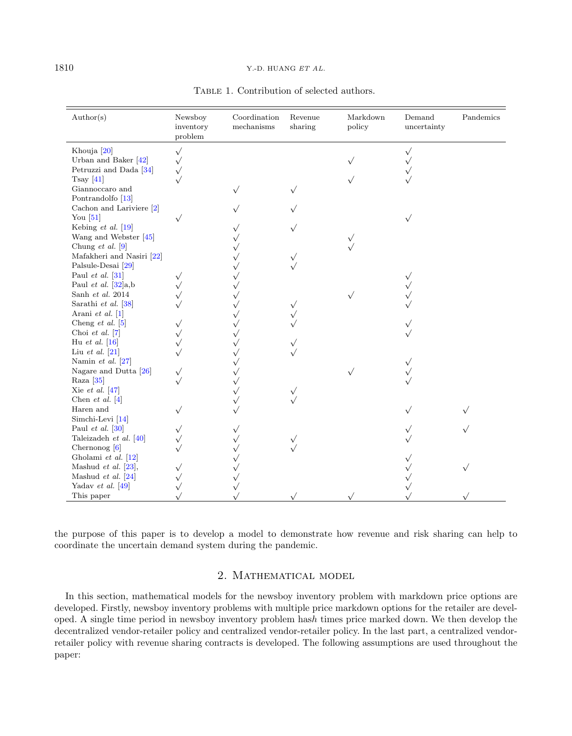#### $1810$  Y.-D. HUANG ET AL.

| Author(s)                            | Newsboy<br>inventory<br>problem | Coordination<br>$\rm{mechanisms}$ | Revenue<br>sharing | Markdown<br>policy | Demand<br>uncertainty | Pandemics |
|--------------------------------------|---------------------------------|-----------------------------------|--------------------|--------------------|-----------------------|-----------|
| Khouja [20]                          | $\sqrt{}$                       |                                   |                    |                    |                       |           |
| Urban and Baker $[42]$               | $\sqrt{}$                       |                                   |                    | $\sqrt{}$          |                       |           |
| Petruzzi and Dada [34]               | $\sqrt{}$                       |                                   |                    |                    |                       |           |
| Tsay $[41]$                          | $\sqrt{}$                       |                                   |                    |                    |                       |           |
| Giannoccaro and                      |                                 | $\sqrt{}$                         | $\sqrt{}$          |                    |                       |           |
| Pontrandolfo [13]                    |                                 |                                   |                    |                    |                       |           |
| Cachon and Lariviere [2]             |                                 |                                   |                    |                    |                       |           |
| You $[51]$                           |                                 |                                   |                    |                    |                       |           |
| Kebing $et$ al. [19]                 |                                 |                                   |                    |                    |                       |           |
| Wang and Webster $[45]$              |                                 | $\checkmark$                      |                    | $\sqrt{}$          |                       |           |
| Chung et al. $[9]$                   |                                 |                                   |                    | $\sqrt{}$          |                       |           |
| Mafakheri and Nasiri <sup>[22]</sup> |                                 |                                   |                    |                    |                       |           |
| Palsule-Desai [29]                   |                                 | $\sqrt{ }$                        |                    |                    |                       |           |
| Paul et al. [31]                     | $\sqrt{}$                       | $\sqrt{ }$                        |                    |                    |                       |           |
| Paul et al. $[32]$ a,b               | $\sqrt{}$                       | $\sqrt{ }$                        |                    |                    |                       |           |
| Sanh et al. 2014                     |                                 | $\sqrt{ }$                        |                    | $\sqrt{}$          |                       |           |
| Sarathi et al. [38]                  |                                 | $\sqrt{}$                         | $\sqrt{}$          |                    |                       |           |
| Arani et al. [1]                     |                                 | $\sqrt{ }$                        |                    |                    |                       |           |
| Cheng <i>et al.</i> $\boxed{5}$      | $\sqrt{}$                       | $\sqrt{ }$                        |                    |                    |                       |           |
| Choi et al. $[7]$                    | $\sqrt{}$                       | $\sqrt{ }$                        |                    |                    |                       |           |
| Hu et al. $[16]$                     | $\sqrt{}$                       | $\sqrt{}$                         |                    |                    |                       |           |
| Liu et al. $[21]$                    |                                 | $\sqrt{}$                         |                    |                    |                       |           |
| Namin et al. [27]                    |                                 | $\sqrt{}$                         |                    |                    |                       |           |
| Nagare and Dutta $[26]$              | $\sqrt{}$                       | $\sqrt{}$                         |                    | $\sqrt{}$          |                       |           |
| Raza $ 35 $                          | $\sqrt{}$                       | $\sqrt{ }$                        |                    |                    |                       |           |
| Xie et al. $[47]$                    |                                 | $\sqrt{}$                         | $\checkmark$       |                    |                       |           |
| Chen et al. $[4]$                    |                                 | $\sqrt{}$                         |                    |                    |                       |           |
| Haren and                            | $\sqrt{}$                       |                                   |                    |                    |                       |           |
| Simchi-Levi [14]                     |                                 |                                   |                    |                    |                       |           |
| Paul et al. $[30]$                   | $\sqrt{}$                       | $\sqrt{}$                         |                    |                    |                       |           |
| Taleizadeh et al. $[40]$             | $\checkmark$                    |                                   |                    |                    |                       |           |
| Chernonog $[6]$                      |                                 |                                   |                    |                    |                       |           |
| Gholami et al. [12]                  |                                 |                                   |                    |                    |                       |           |
| Mashud <i>et al.</i> $[23]$ ,        | $\sqrt{}$                       | $\sqrt{}$                         |                    |                    |                       |           |
| Mashud $et$ al. $[24]$               | $\sqrt{}$                       | $\sqrt{}$                         |                    |                    |                       |           |
| Yadav et al. $[49]$                  |                                 |                                   |                    |                    |                       |           |
| This paper                           |                                 |                                   |                    |                    |                       |           |

<span id="page-3-0"></span>TABLE 1. Contribution of selected authors.

the purpose of this paper is to develop a model to demonstrate how revenue and risk sharing can help to coordinate the uncertain demand system during the pandemic.

## 2. Mathematical model

In this section, mathematical models for the newsboy inventory problem with markdown price options are developed. Firstly, newsboy inventory problems with multiple price markdown options for the retailer are developed. A single time period in newsboy inventory problem hash times price marked down. We then develop the decentralized vendor-retailer policy and centralized vendor-retailer policy. In the last part, a centralized vendorretailer policy with revenue sharing contracts is developed. The following assumptions are used throughout the paper: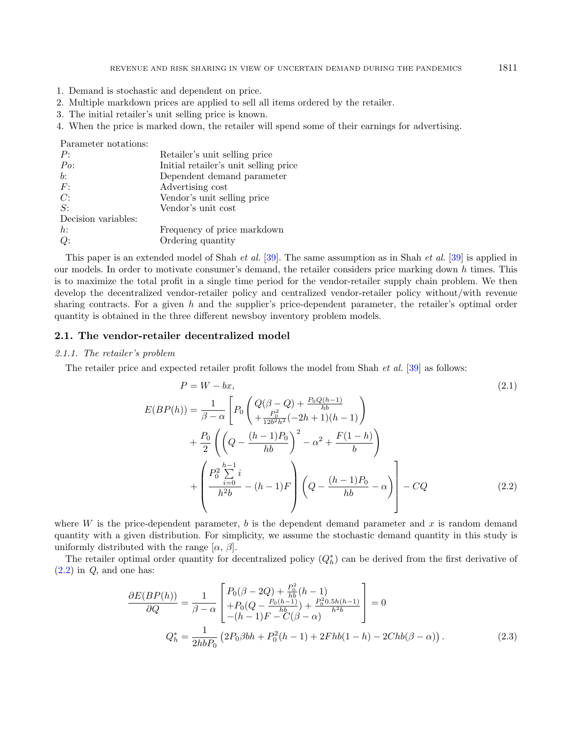- 1. Demand is stochastic and dependent on price.
- 2. Multiple markdown prices are applied to sell all items ordered by the retailer.
- 3. The initial retailer's unit selling price is known.
- 4. When the price is marked down, the retailer will spend some of their earnings for advertising.

Parameter notations:

| P:                  | Retailer's unit selling price         |
|---------------------|---------------------------------------|
| $Po$ :              | Initial retailer's unit selling price |
| $\mathfrak{b}$ :    | Dependent demand parameter            |
| F:                  | Advertising cost                      |
| C:                  | Vendor's unit selling price           |
| S:                  | Vendor's unit cost                    |
| Decision variables: |                                       |
| $h$ :               | Frequency of price markdown           |
| $Q$ :               | Ordering quantity                     |

This paper is an extended model of Shah et al. [\[39\]](#page-13-25). The same assumption as in Shah et al. [\[39\]](#page-13-25) is applied in our models. In order to motivate consumer's demand, the retailer considers price marking down h times. This is to maximize the total profit in a single time period for the vendor-retailer supply chain problem. We then develop the decentralized vendor-retailer policy and centralized vendor-retailer policy without/with revenue sharing contracts. For a given  $h$  and the supplier's price-dependent parameter, the retailer's optimal order quantity is obtained in the three different newsboy inventory problem models.

#### 2.1. The vendor-retailer decentralized model

#### 2.1.1. The retailer's problem

The retailer price and expected retailer profit follows the model from Shah *et al.* [\[39\]](#page-13-25) as follows:

<span id="page-4-1"></span><span id="page-4-0"></span>
$$
P = W - bx,
$$
\n
$$
E(BP(h)) = \frac{1}{\beta - \alpha} \left[ P_0 \left( \frac{Q(\beta - Q) + \frac{P_0 Q(h - 1)}{hb}}{1 - \frac{P_0^2}{12b^2h^2}(-2h + 1)(h - 1)} \right) + \frac{P_0}{2} \left( \left( Q - \frac{(h - 1)P_0}{hb} \right)^2 - \alpha^2 + \frac{F(1 - h)}{b} \right) + \left( \frac{P_0^2 \sum_{i=0}^{h-1} i}{h^2b} - (h - 1)F \right) \left( Q - \frac{(h - 1)P_0}{hb} - \alpha \right) \right] - CQ
$$
\n(2.2)

where  $W$  is the price-dependent parameter,  $b$  is the dependent demand parameter and  $x$  is random demand quantity with a given distribution. For simplicity, we assume the stochastic demand quantity in this study is uniformly distributed with the range  $[\alpha, \beta]$ .

The retailer optimal order quantity for decentralized policy  $(Q_h^*)$  can be derived from the first derivative of  $(2.2)$  in  $Q$ , and one has:

$$
\frac{\partial E(BP(h))}{\partial Q} = \frac{1}{\beta - \alpha} \begin{bmatrix} P_0(\beta - 2Q) + \frac{P_0^2}{hb}(h - 1) \\ + P_0(Q - \frac{P_0(h-1)}{hb}) + \frac{P_0^2 0.5h(h-1)}{h^2 b} \\ -(h-1)F - C(\beta - \alpha) \end{bmatrix} = 0
$$
  

$$
Q_h^* = \frac{1}{2hbP_0} \left( 2P_0\beta bh + P_0^2(h-1) + 2Fhb(1-h) - 2Chb(\beta - \alpha) \right).
$$
 (2.3)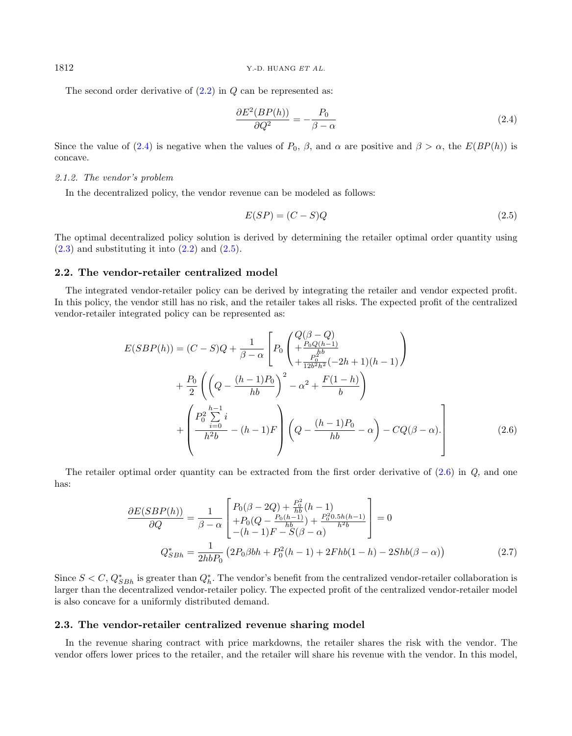The second order derivative of  $(2.2)$  in  $Q$  can be represented as:

<span id="page-5-1"></span><span id="page-5-0"></span>
$$
\frac{\partial E^2(BP(h))}{\partial Q^2} = -\frac{P_0}{\beta - \alpha} \tag{2.4}
$$

Since the value of [\(2.4\)](#page-5-0) is negative when the values of  $P_0$ ,  $\beta$ , and  $\alpha$  are positive and  $\beta > \alpha$ , the  $E(BP(h))$  is concave.

#### 2.1.2. The vendor's problem

In the decentralized policy, the vendor revenue can be modeled as follows:

<span id="page-5-3"></span><span id="page-5-2"></span>
$$
E(SP) = (C - S)Q\tag{2.5}
$$

The optimal decentralized policy solution is derived by determining the retailer optimal order quantity using  $(2.3)$  and substituting it into  $(2.2)$  and  $(2.5)$ .

#### 2.2. The vendor-retailer centralized model

The integrated vendor-retailer policy can be derived by integrating the retailer and vendor expected profit. In this policy, the vendor still has no risk, and the retailer takes all risks. The expected profit of the centralized vendor-retailer integrated policy can be represented as:

$$
E(SBP(h)) = (C - S)Q + \frac{1}{\beta - \alpha} \left[ P_0 \left( \frac{Q(\beta - Q)}{h} + \frac{P_0 Q(h - 1)}{B^2} - 2h + 1)(h - 1) \right) \right]
$$
  
+ 
$$
\frac{P_0}{2} \left( \left( Q - \frac{(h - 1)P_0}{hb} \right)^2 - \alpha^2 + \frac{F(1 - h)}{b} \right)
$$
  
+ 
$$
\left( \frac{P_0^2 \sum_{i=0}^{h-1} i}{h^2 b} - (h - 1)F \right) \left( Q - \frac{(h - 1)P_0}{hb} - \alpha \right) - CQ(\beta - \alpha).
$$
 (2.6)

The retailer optimal order quantity can be extracted from the first order derivative of  $(2.6)$  in  $Q$ , and one has:

$$
\frac{\partial E(SBP(h))}{\partial Q} = \frac{1}{\beta - \alpha} \begin{bmatrix} P_0(\beta - 2Q) + \frac{P_0^2}{h b}(h - 1) \\ + P_0(Q - \frac{P_0(h - 1)}{h b}) + \frac{P_0^2 0.5h(h - 1)}{h^2 b} \\ -(h - 1)F - S(\beta - \alpha) \end{bmatrix} = 0
$$
  

$$
Q_{S Bh}^* = \frac{1}{2h b P_0} \left( 2P_0 \beta bh + P_0^2(h - 1) + 2F h b(1 - h) - 2S h b(\beta - \alpha) \right)
$$
(2.7)

Since  $S < C$ ,  $Q_{S Bh}^*$  is greater than  $Q_h^*$ . The vendor's benefit from the centralized vendor-retailer collaboration is larger than the decentralized vendor-retailer policy. The expected profit of the centralized vendor-retailer model is also concave for a uniformly distributed demand.

#### 2.3. The vendor-retailer centralized revenue sharing model

In the revenue sharing contract with price markdowns, the retailer shares the risk with the vendor. The vendor offers lower prices to the retailer, and the retailer will share his revenue with the vendor. In this model,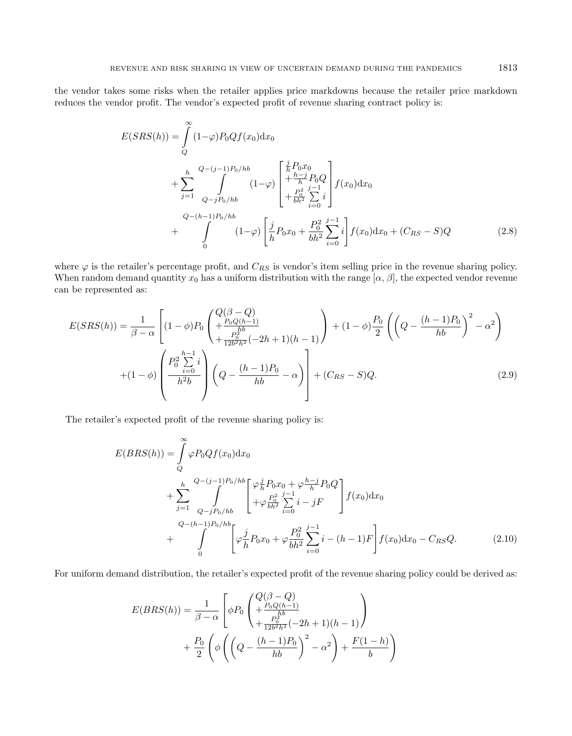the vendor takes some risks when the retailer applies price markdowns because the retailer price markdown reduces the vendor profit. The vendor's expected profit of revenue sharing contract policy is:

$$
E(SRS(h)) = \int_{Q}^{\infty} (1 - \varphi) P_0 Q f(x_0) dx_0
$$
  
+ 
$$
\sum_{j=1}^{h} \int_{Q-jP_0/hb}^{Q-(j-1)P_0/hb} (1 - \varphi) \begin{bmatrix} \frac{j}{h} P_0 x_0 \\ + \frac{h-j}{h} P_0 Q \\ + \frac{P_0^2}{bh^2} \sum_{i=0}^{j-1} i \end{bmatrix} f(x_0) dx_0
$$
  
+ 
$$
\int_{0}^{Q-(h-1)P_0/hb} (1 - \varphi) \left[ \frac{j}{h} P_0 x_0 + \frac{P_0^2}{bh^2} \sum_{i=0}^{j-1} i \right] f(x_0) dx_0 + (C_{RS} - S)Q
$$
(2.8)

where  $\varphi$  is the retailer's percentage profit, and  $C_{RS}$  is vendor's item selling price in the revenue sharing policy. When random demand quantity  $x_0$  has a uniform distribution with the range  $[\alpha, \beta]$ , the expected vendor revenue can be represented as:

$$
E(SRS(h)) = \frac{1}{\beta - \alpha} \left[ (1 - \phi) P_0 \left( \frac{Q(\beta - Q)}{P_0^{k}} \right) + (1 - \phi) \frac{P_0}{2} \left( \left( Q - \frac{(h - 1)P_0}{hb} \right)^2 - \alpha^2 \right) + (1 - \phi) \left( \frac{P_0^2 \sum_{i=0}^{h-1} i}{h^2} \right) \left( Q - \frac{(h - 1)P_0}{hb} - \alpha \right) \right] + (C_{RS} - S)Q. \tag{2.9}
$$

The retailer's expected profit of the revenue sharing policy is:

$$
E(BRS(h)) = \int_{Q}^{\infty} \varphi P_0 Q f(x_0) dx_0
$$
  
+ 
$$
\sum_{j=1}^{h} \int_{Q-jP_0/hb}^{Q-(j-1)P_0/hb} \left[ \varphi \frac{j}{h} P_0 x_0 + \varphi \frac{h-j}{h} P_0 Q \right] f(x_0) dx_0
$$
  
+ 
$$
\int_{Q-(h-1)P_0/hb}^{Q-(h-1)P_0/hb} \left[ \varphi \frac{j}{h} P_0 x_0 + \varphi \frac{P_0^2}{bh^2} \sum_{i=0}^{j-1} i - (h-1)F \right] f(x_0) dx_0 - C_{RS} Q.
$$
 (2.10)

For uniform demand distribution, the retailer's expected profit of the revenue sharing policy could be derived as:

$$
E(BRS(h)) = \frac{1}{\beta - \alpha} \left[ \phi P_0 \left( \frac{Q(\beta - Q)}{f_{\text{D}_0}^{bb}} + \frac{P_0 Q(h-1)}{f_{\text{D}_0}^{bb}} - 2h + 1)(h - 1) \right) + \frac{P_0}{2} \left( \phi \left( \left( Q - \frac{(h-1)P_0}{hb} \right)^2 - \alpha^2 \right) + \frac{F(1-h)}{b} \right)
$$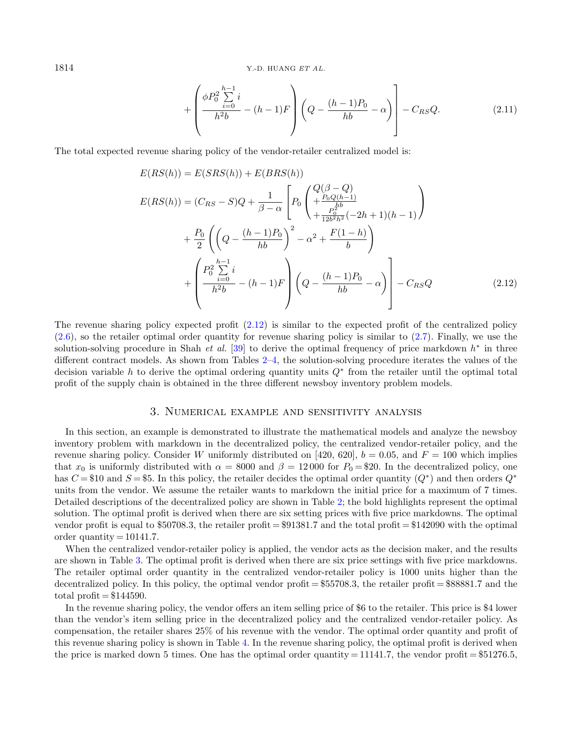<span id="page-7-0"></span>
$$
+\left(\frac{\phi P_0^2 \sum_{i=0}^{h-1} i}{h^2 b} - (h-1)F\right) \left(Q - \frac{(h-1)P_0}{hb} - \alpha\right) - C_{RS}Q.
$$
 (2.11)

The total expected revenue sharing policy of the vendor-retailer centralized model is:

$$
E(RS(h)) = E(SRS(h)) + E(BRS(h))
$$
  
\n
$$
E(RS(h)) = (C_{RS} - S)Q + \frac{1}{\beta - \alpha} \left[ P_0 \left( \frac{Q(\beta - Q)}{f} + \frac{P_0 Q(h - 1)}{P_0^{bb}} - (P_0 h - 1) \right) + \frac{P_0}{2} \left( \left( Q - \frac{(h - 1)P_0}{hb} \right)^2 - \alpha^2 + \frac{F(1 - h)}{b} \right) + \left( \frac{P_0^2 \sum_{i=0}^{h-1} i}{h^2 b} - (h - 1)F \right) \left( Q - \frac{(h - 1)P_0}{hb} - \alpha \right) \right] - C_{RS}Q
$$
\n(2.12)

The revenue sharing policy expected profit [\(2.12\)](#page-7-0) is similar to the expected profit of the centralized policy  $(2.6)$ , so the retailer optimal order quantity for revenue sharing policy is similar to  $(2.7)$ . Finally, we use the solution-solving procedure in Shah et al. [\[39\]](#page-13-25) to derive the optimal frequency of price markdown  $h^*$  in three different contract models. As shown from Tables [2–](#page-8-0)[4,](#page-8-1) the solution-solving procedure iterates the values of the decision variable  $h$  to derive the optimal ordering quantity units  $Q^*$  from the retailer until the optimal total profit of the supply chain is obtained in the three different newsboy inventory problem models.

#### 3. Numerical example and sensitivity analysis

In this section, an example is demonstrated to illustrate the mathematical models and analyze the newsboy inventory problem with markdown in the decentralized policy, the centralized vendor-retailer policy, and the revenue sharing policy. Consider W uniformly distributed on [420, 620],  $b = 0.05$ , and  $F = 100$  which implies that  $x_0$  is uniformly distributed with  $\alpha = 8000$  and  $\beta = 12000$  for  $P_0 = $20$ . In the decentralized policy, one has  $C = $10$  and  $S = $5$ . In this policy, the retailer decides the optimal order quantity  $(Q^*)$  and then orders  $Q^*$ units from the vendor. We assume the retailer wants to markdown the initial price for a maximum of 7 times. Detailed descriptions of the decentralized policy are shown in Table [2;](#page-8-0) the bold highlights represent the optimal solution. The optimal profit is derived when there are six setting prices with five price markdowns. The optimal vendor profit is equal to \$50708.3, the retailer profit  $= $91381.7$  and the total profit  $= $142090$  with the optimal order quantity  $= 10141.7$ .

When the centralized vendor-retailer policy is applied, the vendor acts as the decision maker, and the results are shown in Table [3.](#page-8-2) The optimal profit is derived when there are six price settings with five price markdowns. The retailer optimal order quantity in the centralized vendor-retailer policy is 1000 units higher than the decentralized policy. In this policy, the optimal vendor profit  $= $55708.3$ , the retailer profit  $= $88881.7$  and the total profit  $= $144590$ .

In the revenue sharing policy, the vendor offers an item selling price of \$6 to the retailer. This price is \$4 lower than the vendor's item selling price in the decentralized policy and the centralized vendor-retailer policy. As compensation, the retailer shares 25% of his revenue with the vendor. The optimal order quantity and profit of this revenue sharing policy is shown in Table [4.](#page-8-1) In the revenue sharing policy, the optimal profit is derived when the price is marked down 5 times. One has the optimal order quantity  $= 11141.7$ , the vendor profit  $= $51276.5$ .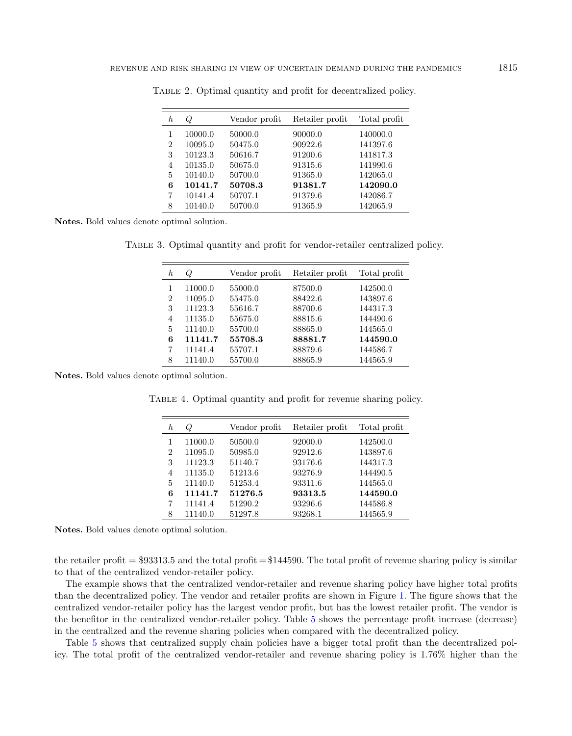<span id="page-8-2"></span>

| h. | Q       | Vendor profit | Retailer profit | Total profit |
|----|---------|---------------|-----------------|--------------|
| 1  | 10000.0 | 50000.0       | 90000.0         | 140000.0     |
| 2  | 10095.0 | 50475.0       | 90922.6         | 141397.6     |
| 3  | 10123.3 | 50616.7       | 91200.6         | 141817.3     |
| 4  | 10135.0 | 50675.0       | 91315.6         | 141990.6     |
| 5  | 10140.0 | 50700.0       | 91365.0         | 142065.0     |
| 6  | 10141.7 | 50708.3       | 91381.7         | 142090.0     |
| 7  | 10141.4 | 50707.1       | 91379.6         | 142086.7     |
| 8  | 10140.0 | 50700.0       | 91365.9         | 142065.9     |

<span id="page-8-0"></span>Table 2. Optimal quantity and profit for decentralized policy.

Notes. Bold values denote optimal solution.

Table 3. Optimal quantity and profit for vendor-retailer centralized policy.

<span id="page-8-1"></span>

| h. | Q       | Vendor profit | Retailer profit | Total profit |
|----|---------|---------------|-----------------|--------------|
|    | 11000.0 | 55000.0       | 87500.0         | 142500.0     |
| 2  | 11095.0 | 55475.0       | 88422.6         | 143897.6     |
| 3  | 11123.3 | 55616.7       | 88700.6         | 144317.3     |
| 4  | 11135.0 | 55675.0       | 88815.6         | 144490.6     |
| 5  | 11140.0 | 55700.0       | 88865.0         | 144565.0     |
| 6  | 11141.7 | 55708.3       | 88881.7         | 144590.0     |
| 7  | 11141.4 | 55707.1       | 88879.6         | 144586.7     |
| 8  | 11140.0 | 55700.0       | 88865.9         | 144565.9     |

Notes. Bold values denote optimal solution.

TABLE 4. Optimal quantity and profit for revenue sharing policy.

| h.             | Q       | Vendor profit | Retailer profit | Total profit |
|----------------|---------|---------------|-----------------|--------------|
|                | 11000.0 | 50500.0       | 92000.0         | 142500.0     |
| $\overline{2}$ | 11095.0 | 50985.0       | 92912.6         | 143897.6     |
| 3              | 11123.3 | 51140.7       | 93176.6         | 144317.3     |
| 4              | 11135.0 | 51213.6       | 93276.9         | 144490.5     |
| 5              | 11140.0 | 51253.4       | 93311.6         | 144565.0     |
| 6              | 11141.7 | 51276.5       | 93313.5         | 144590.0     |
| 7              | 11141.4 | 51290.2       | 93296.6         | 144586.8     |
| 8              | 11140.0 | 51297.8       | 93268.1         | 144565.9     |

Notes. Bold values denote optimal solution.

the retailer profit  $=$  \$93313.5 and the total profit  $=$  \$144590. The total profit of revenue sharing policy is similar to that of the centralized vendor-retailer policy.

The example shows that the centralized vendor-retailer and revenue sharing policy have higher total profits than the decentralized policy. The vendor and retailer profits are shown in Figure [1.](#page-9-0) The figure shows that the centralized vendor-retailer policy has the largest vendor profit, but has the lowest retailer profit. The vendor is the benefitor in the centralized vendor-retailer policy. Table [5](#page-9-1) shows the percentage profit increase (decrease) in the centralized and the revenue sharing policies when compared with the decentralized policy.

Table [5](#page-9-1) shows that centralized supply chain policies have a bigger total profit than the decentralized policy. The total profit of the centralized vendor-retailer and revenue sharing policy is 1.76% higher than the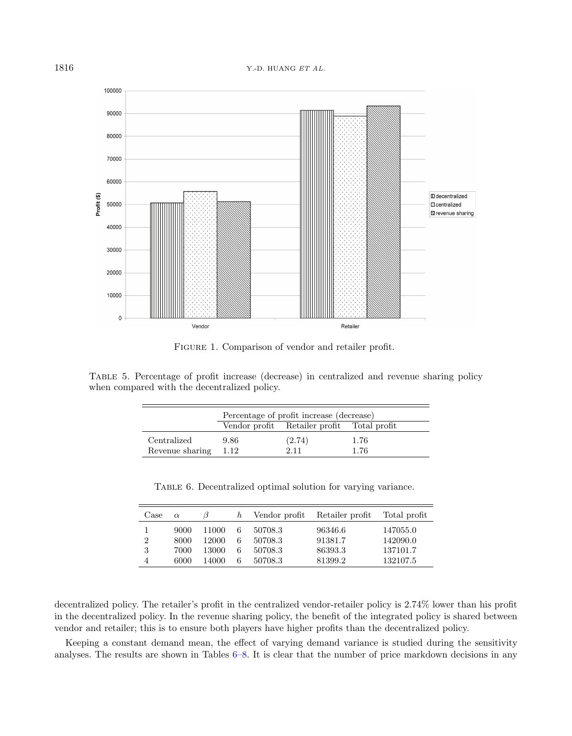

<span id="page-9-2"></span><span id="page-9-1"></span><span id="page-9-0"></span>Figure 1. Comparison of vendor and retailer profit.

Table 5. Percentage of profit increase (decrease) in centralized and revenue sharing policy when compared with the decentralized policy.

|                 | Percentage of profit increase (decrease) |                                            |      |  |  |  |  |
|-----------------|------------------------------------------|--------------------------------------------|------|--|--|--|--|
|                 |                                          | Vendor profit Retailer profit Total profit |      |  |  |  |  |
| Centralized     | 9.86                                     | (2.74)                                     | 1.76 |  |  |  |  |
| Revenue sharing | 1.12                                     | 2.11                                       | 1.76 |  |  |  |  |

Table 6. Decentralized optimal solution for varying variance.

| Case | $\alpha$ | 13    | h. | Vendor profit | Retailer profit | Total profit |
|------|----------|-------|----|---------------|-----------------|--------------|
|      | 9000     | 11000 | 6  | 50708.3       | 96346.6         | 147055.0     |
| 2    | 8000     | 12000 | 6  | 50708.3       | 91381.7         | 142090.0     |
| 3    | 7000     | 13000 | 6  | 50708.3       | 86393.3         | 137101.7     |
| 4    | 6000     | 14000 | 6  | 50708.3       | 81399.2         | 132107.5     |

decentralized policy. The retailer's profit in the centralized vendor-retailer policy is 2.74% lower than his profit in the decentralized policy. In the revenue sharing policy, the benefit of the integrated policy is shared between vendor and retailer; this is to ensure both players have higher profits than the decentralized policy.

Keeping a constant demand mean, the effect of varying demand variance is studied during the sensitivity analyses. The results are shown in Tables [6–](#page-9-2)[8.](#page-10-0) It is clear that the number of price markdown decisions in any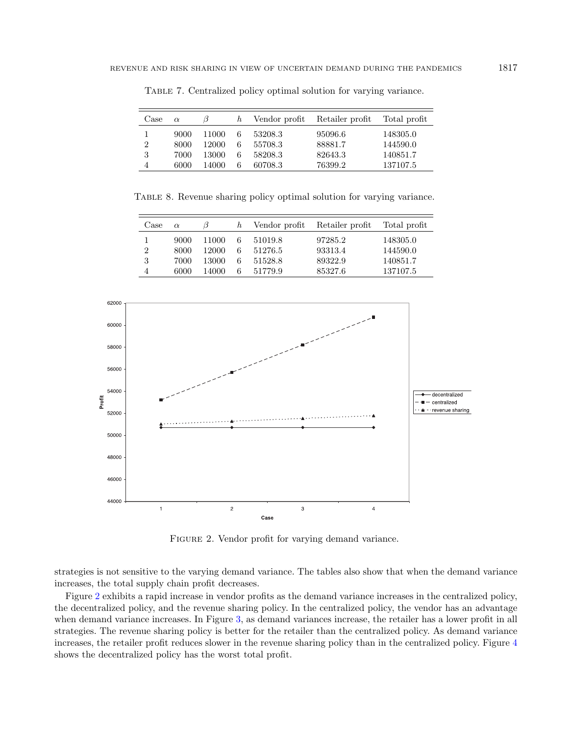| Case           | $\alpha$ |       | $h_{-}$ | Vendor profit | Retailer profit | Total profit |
|----------------|----------|-------|---------|---------------|-----------------|--------------|
|                | 9000     | 11000 | 6       | 53208.3       | 95096.6         | 148305.0     |
| $\overline{2}$ | 8000     | 12000 | 6       | 55708.3       | 88881.7         | 144590.0     |
| 3              | 7000     | 13000 | 6       | 58208.3       | 82643.3         | 140851.7     |
| $\overline{4}$ | 6000     | 14000 | 6       | 60708.3       | 76399.2         | 137107.5     |

<span id="page-10-0"></span>Table 7. Centralized policy optimal solution for varying variance.

Table 8. Revenue sharing policy optimal solution for varying variance.

| Case                     | $\alpha$                     |                                   | h                |                                          | Vendor profit Retailer profit            | Total profit                                 |
|--------------------------|------------------------------|-----------------------------------|------------------|------------------------------------------|------------------------------------------|----------------------------------------------|
| $\overline{2}$<br>3<br>4 | 9000<br>8000<br>7000<br>6000 | 11000<br>12000<br>13000<br>14000. | 6<br>6<br>6<br>6 | 51019.8<br>51276.5<br>51528.8<br>51779.9 | 97285.2<br>93313.4<br>89322.9<br>85327.6 | 148305.0<br>144590.0<br>140851.7<br>137107.5 |



<span id="page-10-1"></span>FIGURE 2. Vendor profit for varying demand variance.

strategies is not sensitive to the varying demand variance. The tables also show that when the demand variance increases, the total supply chain profit decreases.

Figure [2](#page-10-1) exhibits a rapid increase in vendor profits as the demand variance increases in the centralized policy, the decentralized policy, and the revenue sharing policy. In the centralized policy, the vendor has an advantage when demand variance increases. In Figure [3,](#page-11-0) as demand variances increase, the retailer has a lower profit in all strategies. The revenue sharing policy is better for the retailer than the centralized policy. As demand variance increases, the retailer profit reduces slower in the revenue sharing policy than in the centralized policy. Figure [4](#page-11-1) shows the decentralized policy has the worst total profit.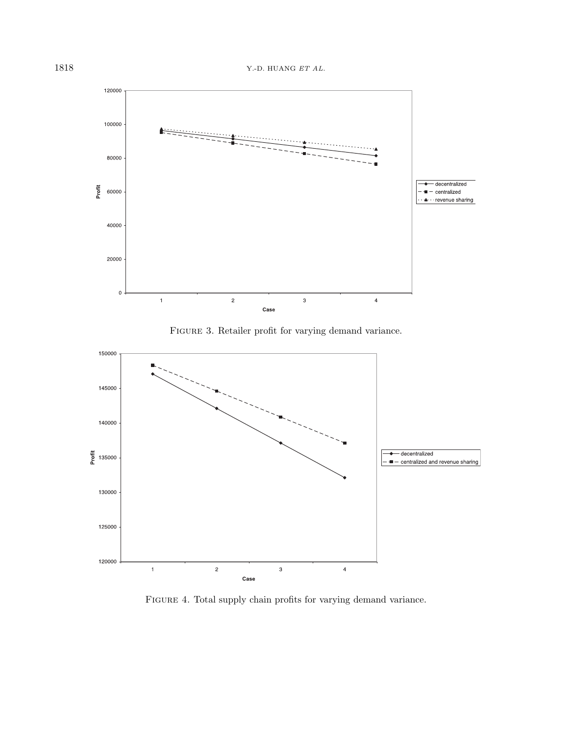

<span id="page-11-1"></span><span id="page-11-0"></span>FIGURE 3. Retailer profit for varying demand variance.



FIGURE 4. Total supply chain profits for varying demand variance.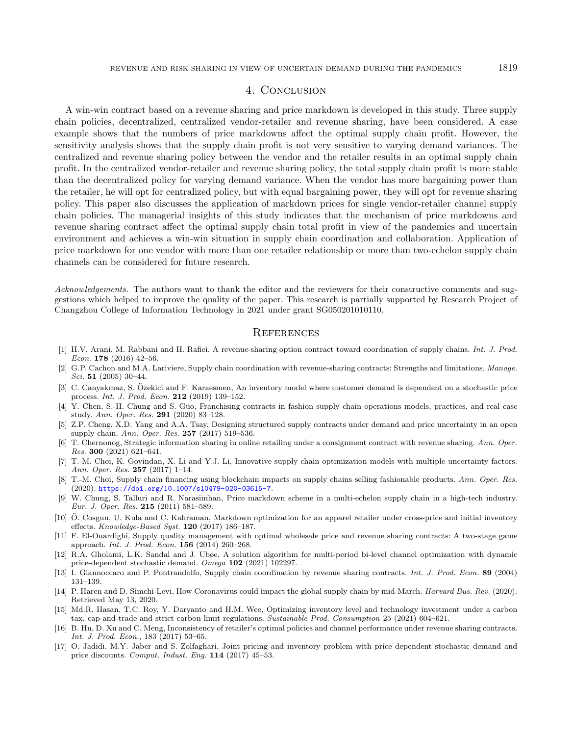## 4. CONCLUSION

A win-win contract based on a revenue sharing and price markdown is developed in this study. Three supply chain policies, decentralized, centralized vendor-retailer and revenue sharing, have been considered. A case example shows that the numbers of price markdowns affect the optimal supply chain profit. However, the sensitivity analysis shows that the supply chain profit is not very sensitive to varying demand variances. The centralized and revenue sharing policy between the vendor and the retailer results in an optimal supply chain profit. In the centralized vendor-retailer and revenue sharing policy, the total supply chain profit is more stable than the decentralized policy for varying demand variance. When the vendor has more bargaining power than the retailer, he will opt for centralized policy, but with equal bargaining power, they will opt for revenue sharing policy. This paper also discusses the application of markdown prices for single vendor-retailer channel supply chain policies. The managerial insights of this study indicates that the mechanism of price markdowns and revenue sharing contract affect the optimal supply chain total profit in view of the pandemics and uncertain environment and achieves a win-win situation in supply chain coordination and collaboration. Application of price markdown for one vendor with more than one retailer relationship or more than two-echelon supply chain channels can be considered for future research.

<span id="page-12-15"></span><span id="page-12-11"></span><span id="page-12-9"></span><span id="page-12-5"></span><span id="page-12-3"></span><span id="page-12-2"></span>Acknowledgements. The authors want to thank the editor and the reviewers for their constructive comments and suggestions which helped to improve the quality of the paper. This research is partially supported by Research Project of Changzhou College of Information Technology in 2021 under grant SG050201010110.

#### **REFERENCES**

- <span id="page-12-4"></span>[1] H.V. Arani, M. Rabbani and H. Rafiei, A revenue-sharing option contract toward coordination of supply chains. Int. J. Prod. Econ. 178 (2016) 42–56.
- <span id="page-12-12"></span>[2] G.P. Cachon and M.A. Lariviere, Supply chain coordination with revenue-sharing contracts: Strengths and limitations, Manage. Sci. 51 (2005) 30–44.
- <span id="page-12-13"></span>[3] C. Canyakmaz, S. Özekici and F. Karaesmen, An inventory model where customer demand is dependent on a stochastic price process. Int. J. Prod. Econ. 212 (2019) 139–152.
- <span id="page-12-7"></span>[4] Y. Chen, S.-H. Chung and S. Guo, Franchising contracts in fashion supply chain operations models, practices, and real case study. Ann. Oper. Res. 291 (2020) 83–128.
- <span id="page-12-14"></span>[5] Z.P. Cheng, X.D. Yang and A.A. Tsay, Designing structured supply contracts under demand and price uncertainty in an open supply chain. Ann. Oper. Res. **257** (2017) 519-536.
- <span id="page-12-10"></span>[6] T. Chernonog, Strategic information sharing in online retailing under a consignment contract with revenue sharing. Ann. Oper. Res. 300 (2021) 621–641.
- <span id="page-12-0"></span>[7] T.-M. Choi, K. Govindan, X. Li and Y.J. Li, Innovative supply chain optimization models with multiple uncertainty factors. Ann. Oper. Res. 257 (2017) 1–14.
- <span id="page-12-1"></span>[8] T.-M. Choi, Supply chain financing using blockchain impacts on supply chains selling fashionable products. Ann. Oper. Res. (2020). <https://doi.org/10.1007/s10479-020-03615-7>.
- <span id="page-12-6"></span>[9] W. Chung, S. Talluri and R. Narasimhan, Price markdown scheme in a multi-echelon supply chain in a high-tech industry. Eur. J. Oper. Res. 215 (2011) 581–589.
- <span id="page-12-8"></span>[10] Ö. Cosgun, U. Kula and C. Kahraman, Markdown optimization for an apparel retailer under cross-price and initial inventory effects. Knowledge-Based Syst.  $120$  (2017) 186-187.
- [11] F. El-Ouardighi, Supply quality management with optimal wholesale price and revenue sharing contracts: A two-stage game approach. Int. J. Prod. Econ. 156 (2014) 260–268.
- [12] R.A. Gholami, L.K. Sandal and J. Ubøe, A solution algorithm for multi-period bi-level channel optimization with dynamic price-dependent stochastic demand. Omega 102 (2021) 102297.
- [13] I. Giannoccaro and P. Pontrandolfo, Supply chain coordination by revenue sharing contracts. Int. J. Prod. Econ. 89 (2004) 131–139.
- [14] P. Haren and D. Simchi-Levi, How Coronavirus could impact the global supply chain by mid-March. Harvard Bus. Rev. (2020). Retrieved May 13, 2020.
- [15] Md.R. Hasan, T.C. Roy, Y. Daryanto and H.M. Wee, Optimizing inventory level and technology investment under a carbon tax, cap-and-trade and strict carbon limit regulations. Sustainable Prod. Consumption 25 (2021) 604–621.
- [16] B. Hu, D. Xu and C. Meng, Inconsistency of retailer's optimal policies and channel performance under revenue sharing contracts. Int. J. Prod. Econ., 183 (2017) 53–65.
- [17] O. Jadidi, M.Y. Jaber and S. Zolfaghari, Joint pricing and inventory problem with price dependent stochastic demand and price discounts. Comput. Indust. Eng. 114 (2017) 45–53.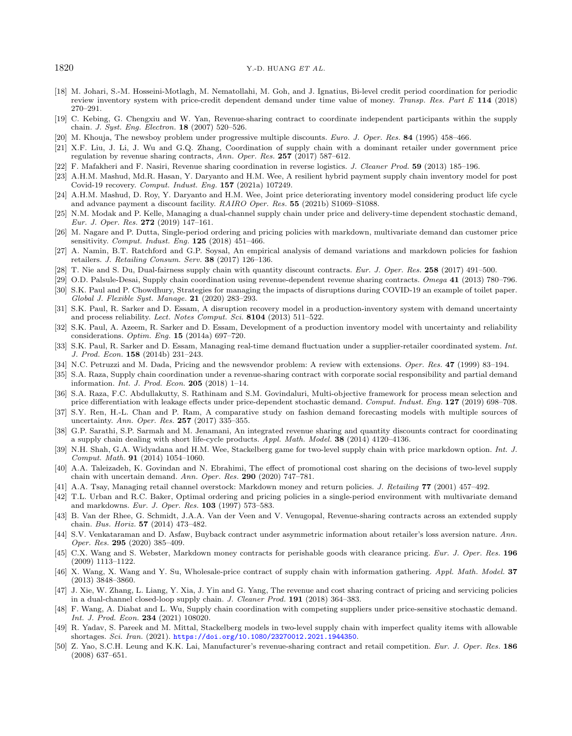#### <span id="page-13-20"></span><span id="page-13-14"></span><span id="page-13-11"></span><span id="page-13-10"></span><span id="page-13-8"></span><span id="page-13-4"></span><span id="page-13-3"></span> $1820$  Y.-D. HUANG ET AL.

- <span id="page-13-26"></span>[18] M. Johari, S.-M. Hosseini-Motlagh, M. Nematollahi, M. Goh, and J. Ignatius, Bi-level credit period coordination for periodic review inventory system with price-credit dependent demand under time value of money. Transp. Res. Part E 114 (2018) 270–291.
- <span id="page-13-24"></span>[19] C. Kebing, G. Chengxiu and W. Yan, Revenue-sharing contract to coordinate independent participants within the supply chain. J. Syst. Eng. Electron. 18 (2007) 520–526.
- <span id="page-13-7"></span>[20] M. Khouja, The newsboy problem under progressive multiple discounts. *Euro. J. Oper. Res.* **84** (1995) 458–466.
- <span id="page-13-13"></span><span id="page-13-0"></span>[21] X.F. Liu, J. Li, J. Wu and G.Q. Zhang, Coordination of supply chain with a dominant retailer under government price regulation by revenue sharing contracts, Ann. Oper. Res. 257 (2017) 587–612.
- [22] F. Mafakheri and F. Nasiri, Revenue sharing coordination in reverse logistics. J. Cleaner Prod. 59 (2013) 185–196.
- <span id="page-13-1"></span>[23] A.H.M. Mashud, Md.R. Hasan, Y. Daryanto and H.M. Wee, A resilient hybrid payment supply chain inventory model for post Covid-19 recovery. Comput. Indust. Eng. 157 (2021a) 107249.
- <span id="page-13-30"></span>[24] A.H.M. Mashud, D. Roy, Y. Daryanto and H.M. Wee, Joint price deteriorating inventory model considering product life cycle and advance payment a discount facility. RAIRO Oper. Res. 55 (2021b) S1069–S1088.
- <span id="page-13-2"></span>[25] N.M. Modak and P. Kelle, Managing a dual-channel supply chain under price and delivery-time dependent stochastic demand, Eur. J. Oper. Res. 272 (2019) 147–161.
- <span id="page-13-19"></span><span id="page-13-9"></span>[26] M. Nagare and P. Dutta, Single-period ordering and pricing policies with markdown, multivariate demand dan customer price sensitivity. Comput. Indust. Eng. 125 (2018) 451-466.
- [27] A. Namin, B.T. Ratchford and G.P. Soysal, An empirical analysis of demand variations and markdown policies for fashion retailers. J. Retailing Consum. Serv. 38 (2017) 126–136.
- <span id="page-13-18"></span>[28] T. Nie and S. Du, Dual-fairness supply chain with quantity discount contracts. Eur. J. Oper. Res. 258 (2017) 491-500.
- [29] O.D. Palsule-Desai, Supply chain coordination using revenue-dependent revenue sharing contracts. Omega 41 (2013) 780–796.
- <span id="page-13-16"></span>[30] S.K. Paul and P. Chowdhury, Strategies for managing the impacts of disruptions during COVID-19 an example of toilet paper. Global J. Flexible Syst. Manage. 21 (2020) 283–293.
- <span id="page-13-25"></span>[31] S.K. Paul, R. Sarker and D. Essam, A disruption recovery model in a production-inventory system with demand uncertainty and process reliability. Lect. Notes Comput. Sci. 8104 (2013) 511–522.
- <span id="page-13-27"></span>[32] S.K. Paul, A. Azeem, R. Sarker and D. Essam, Development of a production inventory model with uncertainty and reliability considerations. Optim. Eng. 15 (2014a) 697–720.
- <span id="page-13-21"></span>[33] S.K. Paul, R. Sarker and D. Essam, Managing real-time demand fluctuation under a supplier-retailer coordinated system. Int. J. Prod. Econ. 158 (2014b) 231–243.
- <span id="page-13-23"></span>[34] N.C. Petruzzi and M. Dada, Pricing and the newsvendor problem: A review with extensions. Oper. Res. 47 (1999) 83–194.
- <span id="page-13-15"></span>[35] S.A. Raza, Supply chain coordination under a revenue-sharing contract with corporate social responsibility and partial demand information. Int. J. Prod. Econ. 205 (2018) 1–14.
- <span id="page-13-6"></span>[36] S.A. Raza, F.C. Abdullakutty, S. Rathinam and S.M. Govindaluri, Multi-objective framework for process mean selection and price differentiation with leakage effects under price-dependent stochastic demand. Comput. Indust. Eng. 127 (2019) 698–708.
- <span id="page-13-29"></span>[37] S.Y. Ren, H.-L. Chan and P. Ram, A comparative study on fashion demand forecasting models with multiple sources of uncertainty. Ann. Oper. Res. 257 (2017) 335–355.
- [38] G.P. Sarathi, S.P. Sarmah and M. Jenamani, An integrated revenue sharing and quantity discounts contract for coordinating a supply chain dealing with short life-cycle products. Appl. Math. Model. 38 (2014) 4120–4136.
- <span id="page-13-17"></span>[39] N.H. Shah, G.A. Widyadana and H.M. Wee, Stackelberg game for two-level supply chain with price markdown option. Int. J. Comput. Math. 91 (2014) 1054–1060.
- <span id="page-13-5"></span>[40] A.A. Taleizadeh, K. Govindan and N. Ebrahimi, The effect of promotional cost sharing on the decisions of two-level supply chain with uncertain demand. Ann. Oper. Res. 290 (2020) 747–781.
- <span id="page-13-28"></span>[41] A.A. Tsay, Managing retail channel overstock: Markdown money and return policies. J. Retailing 77 (2001) 457–492.
- [42] T.L. Urban and R.C. Baker, Optimal ordering and pricing policies in a single-period environment with multivariate demand and markdowns. Eur. J. Oper. Res. 103 (1997) 573–583.
- <span id="page-13-12"></span>[43] B. Van der Rhee, G. Schmidt, J.A.A. Van der Veen and V. Venugopal, Revenue-sharing contracts across an extended supply chain. Bus. Horiz. 57 (2014) 473–482.
- [44] S.V. Venkataraman and D. Asfaw, Buyback contract under asymmetric information about retailer's loss aversion nature. Ann. Oper. Res. 295 (2020) 385–409.
- [45] C.X. Wang and S. Webster, Markdown money contracts for perishable goods with clearance pricing. Eur. J. Oper. Res. 196 (2009) 1113–1122.
- [46] X. Wang, X. Wang and Y. Su, Wholesale-price contract of supply chain with information gathering. Appl. Math. Model. 37 (2013) 3848–3860.
- [47] J. Xie, W. Zhang, L. Liang, Y. Xia, J. Yin and G. Yang, The revenue and cost sharing contract of pricing and servicing policies in a dual-channel closed-loop supply chain. J. Cleaner Prod. 191 (2018) 364–383.
- [48] F. Wang, A. Diabat and L. Wu, Supply chain coordination with competing suppliers under price-sensitive stochastic demand. Int. J. Prod. Econ. 234 (2021) 108020.
- [49] R. Yadav, S. Pareek and M. Mittal, Stackelberg models in two-level supply chain with imperfect quality items with allowable shortages. Sci. Iran. (2021). <https://doi.org/10.1080/23270012.2021.1944350>.
- [50] Z. Yao, S.C.H. Leung and K.K. Lai, Manufacturer's revenue-sharing contract and retail competition. Eur. J. Oper. Res. 186 (2008) 637–651.

<span id="page-13-22"></span>